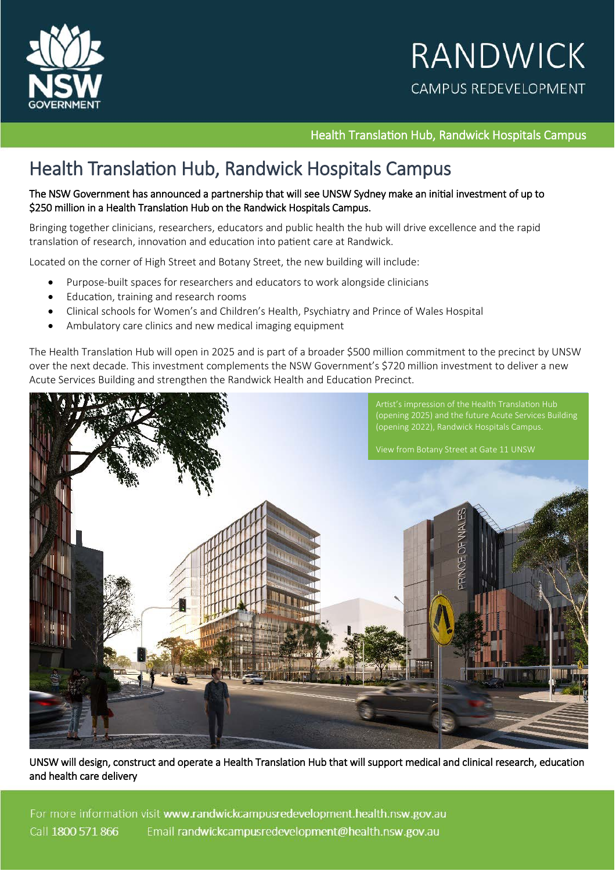

Health Translation Hub, Randwick Hospitals Campus

# Health Translation Hub, Randwick Hospitals Campus

#### The NSW Government has announced a partnership that will see UNSW Sydney make an initial investment of up to \$250 million in a Health Translation Hub on the Randwick Hospitals Campus.

Bringing together clinicians, researchers, educators and public health the hub will drive excellence and the rapid translation of research, innovation and education into patient care at Randwick.

Located on the corner of High Street and Botany Street, the new building will include:

- Purpose-built spaces for researchers and educators to work alongside clinicians
- Education, training and research rooms
- Clinical schools for Women's and Children's Health, Psychiatry and Prince of Wales Hospital
- Ambulatory care clinics and new medical imaging equipment

The Health Translation Hub will open in 2025 and is part of a broader \$500 million commitment to the precinct by UNSW over the next decade. This investment complements the NSW Government's \$720 million investment to deliver a new Acute Services Building and strengthen the Randwick Health and Education Precinct.



UNSW will design, construct and operate a Health Translation Hub that will support medical and clinical research, education and health care delivery

For more information visit www.randwickcampusredevelopment.health.nsw.gov.au Call 1800 571 866 Email randwickcampusredevelopment@health.nsw.gov.au